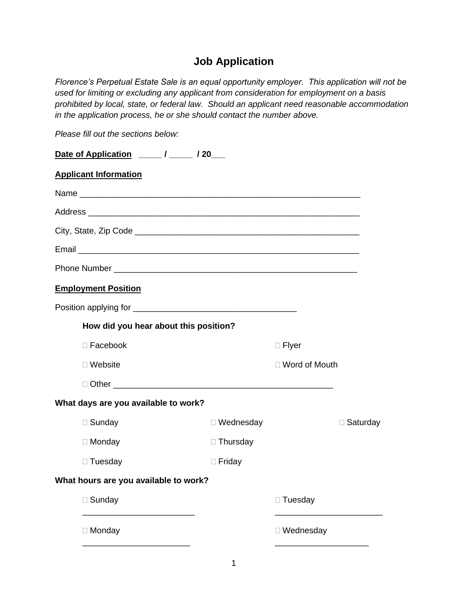# **Job Application**

*Florence's Perpetual Estate Sale is an equal opportunity employer. This application will not be used for limiting or excluding any applicant from consideration for employment on a basis prohibited by local, state, or federal law. Should an applicant need reasonable accommodation in the application process, he or she should contact the number above.*

*Please fill out the sections below:*

| <b>Applicant Information</b>          |                  |                      |                 |
|---------------------------------------|------------------|----------------------|-----------------|
|                                       |                  |                      |                 |
|                                       |                  |                      |                 |
|                                       |                  |                      |                 |
|                                       |                  |                      |                 |
|                                       |                  |                      |                 |
| <b>Employment Position</b>            |                  |                      |                 |
|                                       |                  |                      |                 |
| How did you hear about this position? |                  |                      |                 |
| $\Box$ Facebook                       |                  | $\Box$ Flyer         |                 |
| $\Box$ Website                        |                  | $\Box$ Word of Mouth |                 |
|                                       |                  |                      |                 |
| What days are you available to work?  |                  |                      |                 |
| $\Box$ Sunday                         | $\Box$ Wednesday |                      | $\Box$ Saturday |
| $\Box$ Monday                         | $\Box$ Thursday  |                      |                 |
| $\Box$ Tuesday                        | $\Box$ Friday    |                      |                 |
| What hours are you available to work? |                  |                      |                 |
| $\Box$ Sunday                         |                  | □ Tuesday            |                 |
| $\Box$ Monday                         |                  | □ Wednesday          |                 |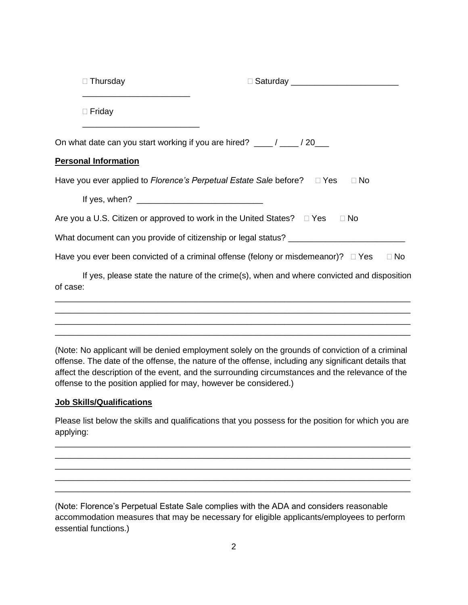| $\Box$ Thursday             |                                                                                                                                                                                                            |
|-----------------------------|------------------------------------------------------------------------------------------------------------------------------------------------------------------------------------------------------------|
| $\Box$ Friday               |                                                                                                                                                                                                            |
|                             | On what date can you start working if you are hired? ____/ ____/ 20___                                                                                                                                     |
| <b>Personal Information</b> |                                                                                                                                                                                                            |
|                             | Have you ever applied to <i>Florence's Perpetual Estate Sale</i> before? □ Yes<br>$\Box$ No                                                                                                                |
|                             |                                                                                                                                                                                                            |
|                             | Are you a U.S. Citizen or approved to work in the United States? □ Yes<br>$\Box$ No                                                                                                                        |
|                             | What document can you provide of citizenship or legal status? __________________                                                                                                                           |
|                             | Have you ever been convicted of a criminal offense (felony or misdemeanor)? $\Box$ Yes<br>$\Box$ No                                                                                                        |
| of case:                    | If yes, please state the nature of the crime(s), when and where convicted and disposition                                                                                                                  |
|                             | ,我们也不能在这里的人,我们也不能在这里的人,我们也不能在这里的人,我们也不能在这里的人,我们也不能在这里的人,我们也不能在这里的人,我们也不能在这里的人,我们也                                                                                                                          |
|                             | <u> 1989 - Johann Stoff, deutscher Stoff, der Stoff, der Stoff, der Stoff, der Stoff, der Stoff, der Stoff, der S</u><br>,我们也不能在这里的人,我们也不能在这里的人,我们也不能在这里的人,我们也不能在这里的人,我们也不能在这里的人,我们也不能在这里的人,我们也不能在这里的人,我们也 |
|                             | (Alata) Ala anglianat will be glanical angela magnetical dia tanggang ang mala at ang dating at a substigal i                                                                                              |

(Note: No applicant will be denied employment solely on the grounds of conviction of a criminal offense. The date of the offense, the nature of the offense, including any significant details that affect the description of the event, and the surrounding circumstances and the relevance of the offense to the position applied for may, however be considered.)

#### **Job Skills/Qualifications**

Please list below the skills and qualifications that you possess for the position for which you are applying:

\_\_\_\_\_\_\_\_\_\_\_\_\_\_\_\_\_\_\_\_\_\_\_\_\_\_\_\_\_\_\_\_\_\_\_\_\_\_\_\_\_\_\_\_\_\_\_\_\_\_\_\_\_\_\_\_\_\_\_\_\_\_\_\_\_\_\_\_\_\_\_\_\_\_\_\_ \_\_\_\_\_\_\_\_\_\_\_\_\_\_\_\_\_\_\_\_\_\_\_\_\_\_\_\_\_\_\_\_\_\_\_\_\_\_\_\_\_\_\_\_\_\_\_\_\_\_\_\_\_\_\_\_\_\_\_\_\_\_\_\_\_\_\_\_\_\_\_\_\_\_\_\_ \_\_\_\_\_\_\_\_\_\_\_\_\_\_\_\_\_\_\_\_\_\_\_\_\_\_\_\_\_\_\_\_\_\_\_\_\_\_\_\_\_\_\_\_\_\_\_\_\_\_\_\_\_\_\_\_\_\_\_\_\_\_\_\_\_\_\_\_\_\_\_\_\_\_\_\_ \_\_\_\_\_\_\_\_\_\_\_\_\_\_\_\_\_\_\_\_\_\_\_\_\_\_\_\_\_\_\_\_\_\_\_\_\_\_\_\_\_\_\_\_\_\_\_\_\_\_\_\_\_\_\_\_\_\_\_\_\_\_\_\_\_\_\_\_\_\_\_\_\_\_\_\_ \_\_\_\_\_\_\_\_\_\_\_\_\_\_\_\_\_\_\_\_\_\_\_\_\_\_\_\_\_\_\_\_\_\_\_\_\_\_\_\_\_\_\_\_\_\_\_\_\_\_\_\_\_\_\_\_\_\_\_\_\_\_\_\_\_\_\_\_\_\_\_\_\_\_\_\_

(Note: Florence's Perpetual Estate Sale complies with the ADA and considers reasonable accommodation measures that may be necessary for eligible applicants/employees to perform essential functions.)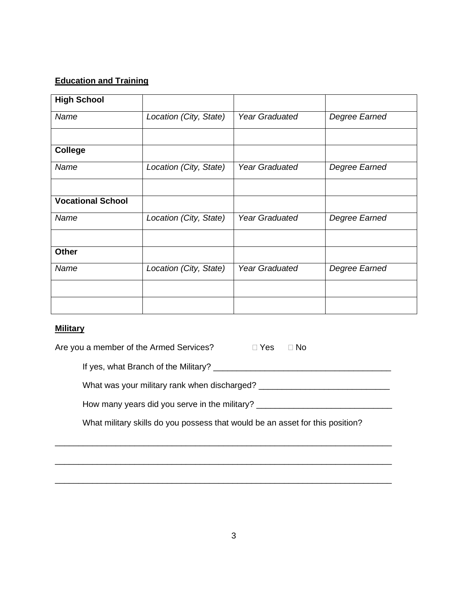## **Education and Training**

| <b>High School</b>       |                        |                       |               |
|--------------------------|------------------------|-----------------------|---------------|
| Name                     | Location (City, State) | <b>Year Graduated</b> | Degree Earned |
|                          |                        |                       |               |
| <b>College</b>           |                        |                       |               |
| Name                     | Location (City, State) | <b>Year Graduated</b> | Degree Earned |
|                          |                        |                       |               |
| <b>Vocational School</b> |                        |                       |               |
| Name                     | Location (City, State) | <b>Year Graduated</b> | Degree Earned |
|                          |                        |                       |               |
| <b>Other</b>             |                        |                       |               |
| Name                     | Location (City, State) | <b>Year Graduated</b> | Degree Earned |
|                          |                        |                       |               |
|                          |                        |                       |               |

### **Military**

| Are you a member of the Armed Services?       | $\sqcap$ Yes $\sqcap$<br>$\Box$ No                                            |
|-----------------------------------------------|-------------------------------------------------------------------------------|
| If yes, what Branch of the Military?          |                                                                               |
| What was your military rank when discharged?  |                                                                               |
| How many years did you serve in the military? |                                                                               |
|                                               | What military skills do you possess that would be an asset for this position? |
|                                               |                                                                               |

\_\_\_\_\_\_\_\_\_\_\_\_\_\_\_\_\_\_\_\_\_\_\_\_\_\_\_\_\_\_\_\_\_\_\_\_\_\_\_\_\_\_\_\_\_\_\_\_\_\_\_\_\_\_\_\_\_\_\_\_\_\_\_\_\_\_\_\_\_\_\_\_

\_\_\_\_\_\_\_\_\_\_\_\_\_\_\_\_\_\_\_\_\_\_\_\_\_\_\_\_\_\_\_\_\_\_\_\_\_\_\_\_\_\_\_\_\_\_\_\_\_\_\_\_\_\_\_\_\_\_\_\_\_\_\_\_\_\_\_\_\_\_\_\_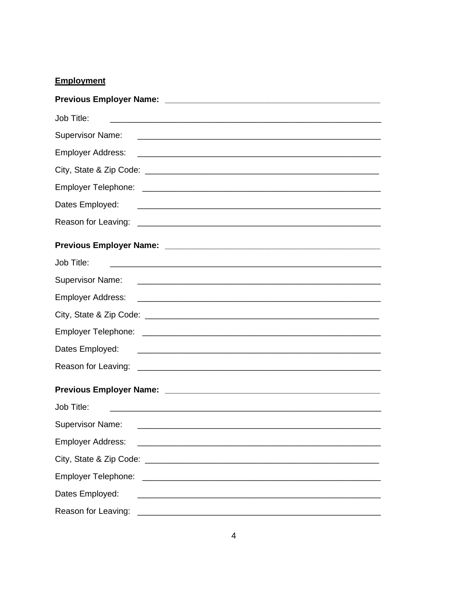### **Employment**

| Job Title:               |                                                                                                                      |
|--------------------------|----------------------------------------------------------------------------------------------------------------------|
| <b>Supervisor Name:</b>  |                                                                                                                      |
| <b>Employer Address:</b> | <u> 2000 - Jan James James Barnett, amerikansk politik (d. 1888)</u>                                                 |
|                          |                                                                                                                      |
|                          |                                                                                                                      |
| Dates Employed:          | <u> 1988 - Johann John Stein, marwolaethau (b. 1988)</u>                                                             |
|                          |                                                                                                                      |
|                          |                                                                                                                      |
| Job Title:               |                                                                                                                      |
|                          |                                                                                                                      |
| <b>Employer Address:</b> | <u> Alexandro de la contrada de la contrada de la contrada de la contrada de la contrada de la contrada de la co</u> |
|                          |                                                                                                                      |
|                          |                                                                                                                      |
| Dates Employed:          |                                                                                                                      |
|                          |                                                                                                                      |
|                          |                                                                                                                      |
| Job Title:               |                                                                                                                      |
| <b>Supervisor Name:</b>  |                                                                                                                      |
| <b>Employer Address:</b> |                                                                                                                      |
|                          |                                                                                                                      |
| Employer Telephone:      | <u> Alexandria de la contrada de la contrada de la contrada de la contrada de la contrada de la contrada de la c</u> |
| Dates Employed:          |                                                                                                                      |
| Reason for Leaving:      |                                                                                                                      |